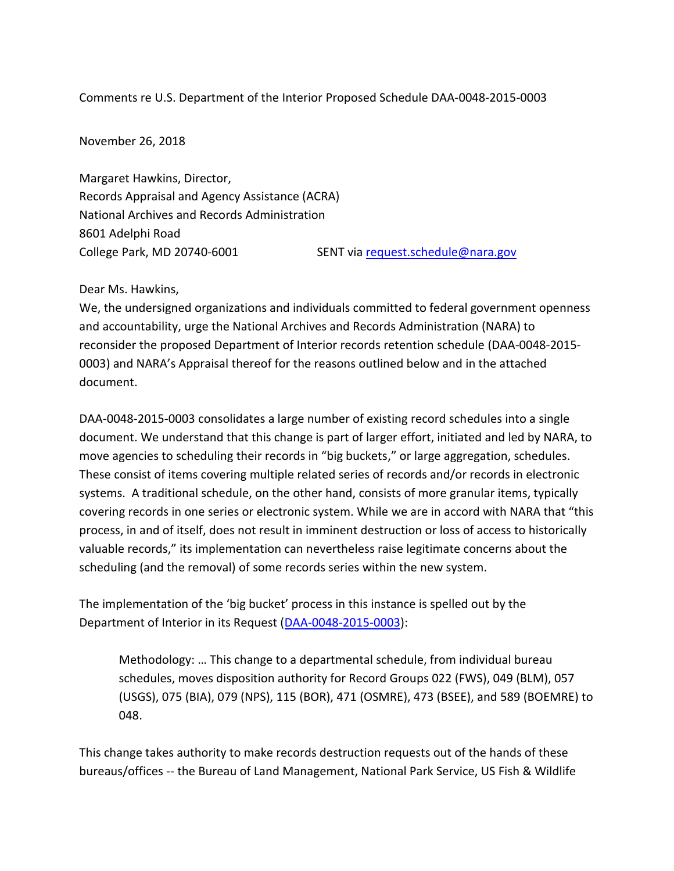Comments re U.S. Department of the Interior Proposed Schedule DAA-0048-2015-0003

November 26, 2018

Margaret Hawkins, Director, Records Appraisal and Agency Assistance (ACRA) National Archives and Records Administration 8601 Adelphi Road College Park, MD 20740-6001 SENT via [request.schedule@nara.gov](mailto:request.schedule@nara.gov)

## Dear Ms. Hawkins,

We, the undersigned organizations and individuals committed to federal government openness and accountability, urge the National Archives and Records Administration (NARA) to reconsider the proposed Department of Interior records retention schedule (DAA-0048-2015- 0003) and NARA's Appraisal thereof for the reasons outlined below and in the attached document.

DAA-0048-2015-0003 consolidates a large number of existing record schedules into a single document. We understand that this change is part of larger effort, initiated and led by NARA, to move agencies to scheduling their records in "big buckets," or large aggregation, schedules. These consist of items covering multiple related series of records and/or records in electronic systems. A traditional schedule, on the other hand, consists of more granular items, typically covering records in one series or electronic system. While we are in accord with NARA that "this process, in and of itself, does not result in imminent destruction or loss of access to historically valuable records," its implementation can nevertheless raise legitimate concerns about the scheduling (and the removal) of some records series within the new system.

The implementation of the 'big bucket' process in this instance is spelled out by the Department of Interior in its Request [\(DAA-0048-2015-0003\)](https://altgov2.org/wp-content/uploads/DAA-0048-2015-0003_10-24-18_correct-version.pdf):

Methodology: … This change to a departmental schedule, from individual bureau schedules, moves disposition authority for Record Groups 022 (FWS), 049 (BLM), 057 (USGS), 075 (BIA), 079 (NPS), 115 (BOR), 471 (OSMRE), 473 (BSEE), and 589 (BOEMRE) to 048.

This change takes authority to make records destruction requests out of the hands of these bureaus/offices -- the Bureau of Land Management, National Park Service, US Fish & Wildlife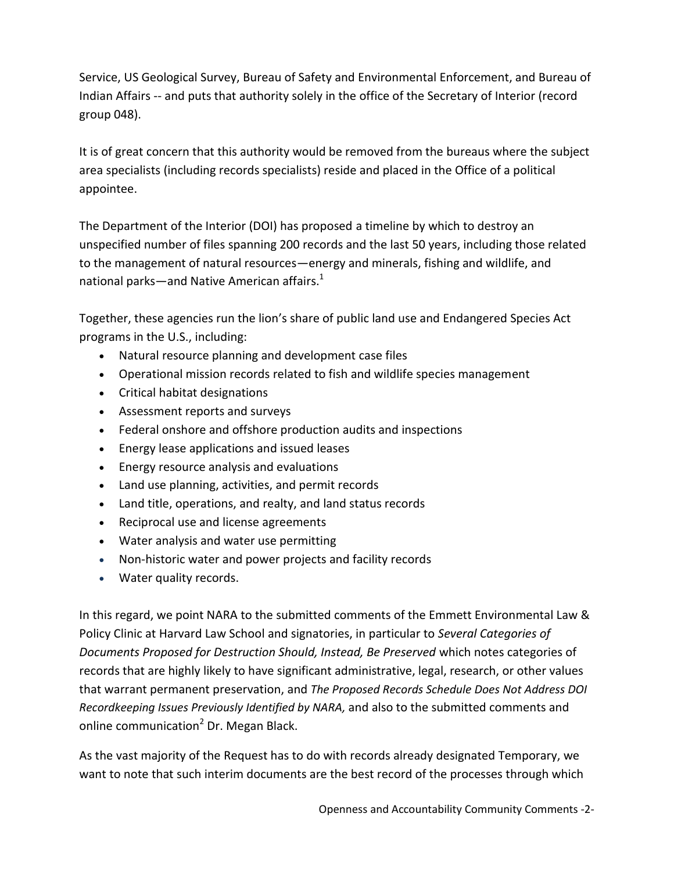Service, US Geological Survey, Bureau of Safety and Environmental Enforcement, and Bureau of Indian Affairs -- and puts that authority solely in the office of the Secretary of Interior (record group 048).

It is of great concern that this authority would be removed from the bureaus where the subject area specialists (including records specialists) reside and placed in the Office of a political appointee.

The Department of the Interior (DOI) has proposed a timeline by which to destroy an unspecified number of files spanning 200 records and the last 50 years, including those related to the management of natural resources—energy and minerals, fishing and wildlife, and national parks—and Native American affairs. $1$ 

Together, these agencies run the lion's share of public land use and Endangered Species Act programs in the U.S., including:

- Natural resource planning and development case files
- Operational mission records related to fish and wildlife species management
- Critical habitat designations
- Assessment reports and surveys
- Federal onshore and offshore production audits and inspections
- Energy lease applications and issued leases
- Energy resource analysis and evaluations
- Land use planning, activities, and permit records
- Land title, operations, and realty, and land status records
- Reciprocal use and license agreements
- Water analysis and water use permitting
- Non-historic water and power projects and facility records
- Water quality records.

In this regard, we point NARA to the submitted comments of the Emmett Environmental Law & Policy Clinic at Harvard Law School and signatories, in particular to *Several Categories of Documents Proposed for Destruction Should, Instead, Be Preserved* which notes categories of records that are highly likely to have significant administrative, legal, research, or other values that warrant permanent preservation, and *The Proposed Records Schedule Does Not Address DOI Recordkeeping Issues Previously Identified by NARA,* and also to the submitted comments and online communication<sup>2</sup> Dr. Megan Black.

As the vast majority of the Request has to do with records already designated Temporary, we want to note that such interim documents are the best record of the processes through which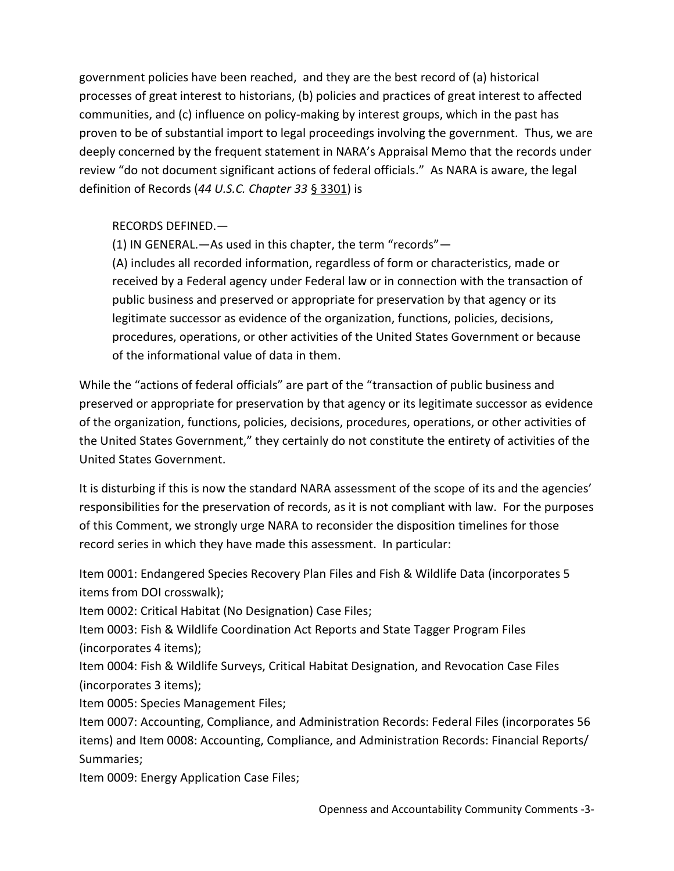government policies have been reached, and they are the best record of (a) historical processes of great interest to historians, (b) policies and practices of great interest to affected communities, and (c) influence on policy-making by interest groups, which in the past has proven to be of substantial import to legal proceedings involving the government. Thus, we are deeply concerned by the frequent statement in NARA's Appraisal Memo that the records under review "do not document significant actions of federal officials." As NARA is aware, the legal definition of Records (*44 U.S.C. Chapter 33* [§ 3301\)](https://www.archives.gov/about/laws/disposal-of-records.html#def) is

## RECORDS DEFINED.—

(1) IN GENERAL.—As used in this chapter, the term "records"—

(A) includes all recorded information, regardless of form or characteristics, made or received by a Federal agency under Federal law or in connection with the transaction of public business and preserved or appropriate for preservation by that agency or its legitimate successor as evidence of the organization, functions, policies, decisions, procedures, operations, or other activities of the United States Government or because of the informational value of data in them.

While the "actions of federal officials" are part of the "transaction of public business and preserved or appropriate for preservation by that agency or its legitimate successor as evidence of the organization, functions, policies, decisions, procedures, operations, or other activities of the United States Government," they certainly do not constitute the entirety of activities of the United States Government.

It is disturbing if this is now the standard NARA assessment of the scope of its and the agencies' responsibilities for the preservation of records, as it is not compliant with law. For the purposes of this Comment, we strongly urge NARA to reconsider the disposition timelines for those record series in which they have made this assessment. In particular:

Item 0001: Endangered Species Recovery Plan Files and Fish & Wildlife Data (incorporates 5 items from DOI crosswalk);

Item 0002: Critical Habitat (No Designation) Case Files;

Item 0003: Fish & Wildlife Coordination Act Reports and State Tagger Program Files (incorporates 4 items);

Item 0004: Fish & Wildlife Surveys, Critical Habitat Designation, and Revocation Case Files (incorporates 3 items);

Item 0005: Species Management Files;

Item 0007: Accounting, Compliance, and Administration Records: Federal Files (incorporates 56 items) and Item 0008: Accounting, Compliance, and Administration Records: Financial Reports/ Summaries;

Item 0009: Energy Application Case Files;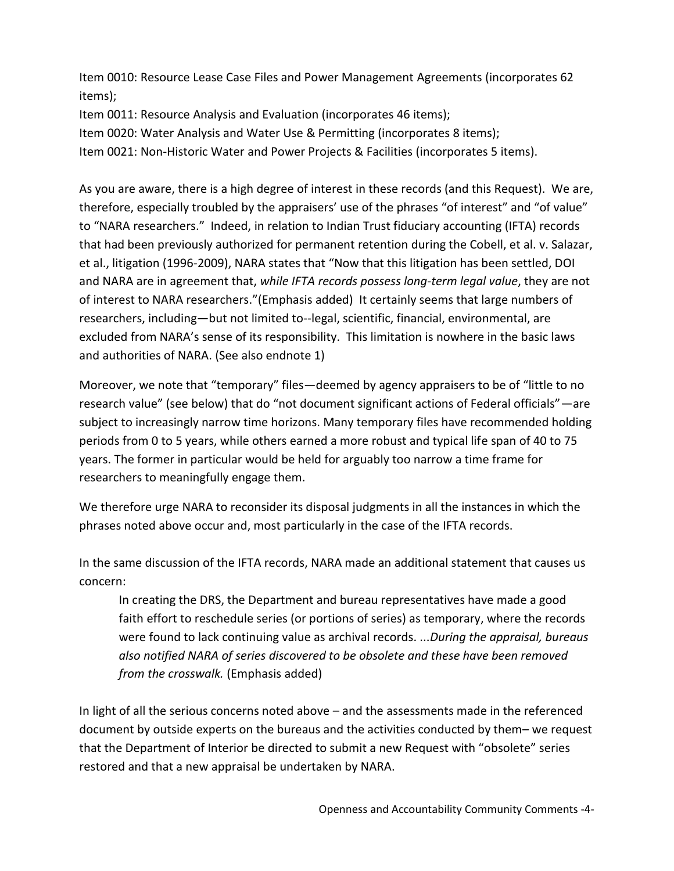Item 0010: Resource Lease Case Files and Power Management Agreements (incorporates 62 items);

Item 0011: Resource Analysis and Evaluation (incorporates 46 items);

Item 0020: Water Analysis and Water Use & Permitting (incorporates 8 items);

Item 0021: Non-Historic Water and Power Projects & Facilities (incorporates 5 items).

As you are aware, there is a high degree of interest in these records (and this Request). We are, therefore, especially troubled by the appraisers' use of the phrases "of interest" and "of value" to "NARA researchers." Indeed, in relation to Indian Trust fiduciary accounting (IFTA) records that had been previously authorized for permanent retention during the Cobell, et al. v. Salazar, et al., litigation (1996-2009), NARA states that "Now that this litigation has been settled, DOI and NARA are in agreement that, *while IFTA records possess long-term legal value*, they are not of interest to NARA researchers."(Emphasis added) It certainly seems that large numbers of researchers, including—but not limited to--legal, scientific, financial, environmental, are excluded from NARA's sense of its responsibility. This limitation is nowhere in the basic laws and authorities of NARA. (See also endnote 1)

Moreover, we note that "temporary" files—deemed by agency appraisers to be of "little to no research value" (see below) that do "not document significant actions of Federal officials"—are subject to increasingly narrow time horizons. Many temporary files have recommended holding periods from 0 to 5 years, while others earned a more robust and typical life span of 40 to 75 years. The former in particular would be held for arguably too narrow a time frame for researchers to meaningfully engage them.

We therefore urge NARA to reconsider its disposal judgments in all the instances in which the phrases noted above occur and, most particularly in the case of the IFTA records.

In the same discussion of the IFTA records, NARA made an additional statement that causes us concern:

In creating the DRS, the Department and bureau representatives have made a good faith effort to reschedule series (or portions of series) as temporary, where the records were found to lack continuing value as archival records. ...*During the appraisal, bureaus also notified NARA of series discovered to be obsolete and these have been removed from the crosswalk.* (Emphasis added)

In light of all the serious concerns noted above – and the assessments made in the referenced document by outside experts on the bureaus and the activities conducted by them– we request that the Department of Interior be directed to submit a new Request with "obsolete" series restored and that a new appraisal be undertaken by NARA.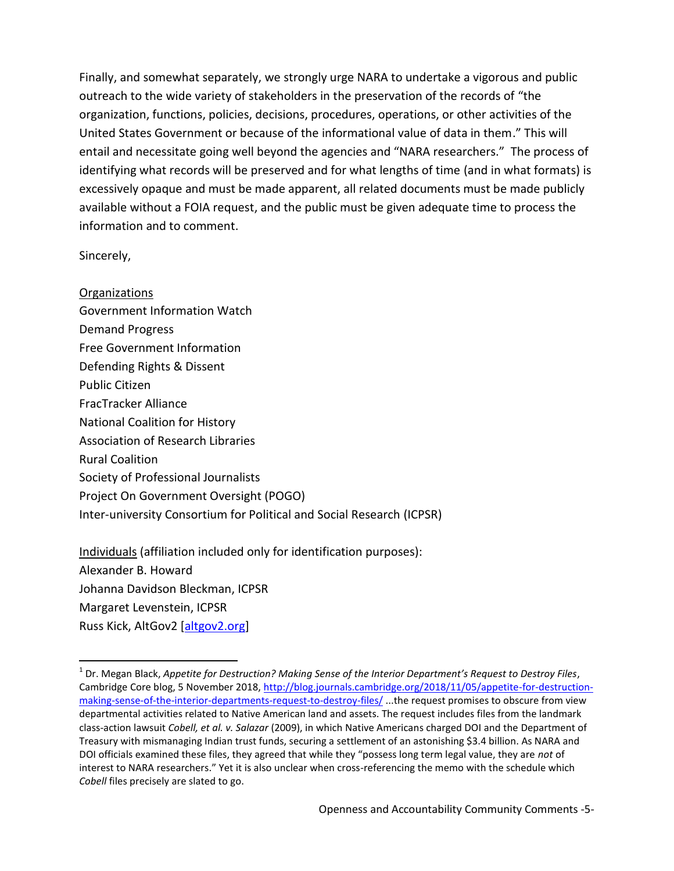Finally, and somewhat separately, we strongly urge NARA to undertake a vigorous and public outreach to the wide variety of stakeholders in the preservation of the records of "the organization, functions, policies, decisions, procedures, operations, or other activities of the United States Government or because of the informational value of data in them." This will entail and necessitate going well beyond the agencies and "NARA researchers." The process of identifying what records will be preserved and for what lengths of time (and in what formats) is excessively opaque and must be made apparent, all related documents must be made publicly available without a FOIA request, and the public must be given adequate time to process the information and to comment.

Sincerely,

l

**Organizations** Government Information Watch Demand Progress Free Government Information Defending Rights & Dissent Public Citizen FracTracker Alliance National Coalition for History Association of Research Libraries Rural Coalition Society of Professional Journalists Project On Government Oversight (POGO) Inter-university Consortium for Political and Social Research (ICPSR)

Individuals (affiliation included only for identification purposes): Alexander B. Howard Johanna Davidson Bleckman, ICPSR Margaret Levenstein, ICPSR Russ Kick, AltGov2 [\[altgov2.org\]](file:///C:/Users/ZZZZZZZZZZZZZZZZZZZZ/Documents/altgov2.org)

<sup>1</sup> Dr. Megan Black, *Appetite for Destruction? Making Sense of the Interior Department's Request to Destroy Files*, Cambridge Core blog, 5 November 2018[, http://blog.journals.cambridge.org/2018/11/05/appetite-for-destruction](http://blog.journals.cambridge.org/2018/11/05/appetite-for-destruction-making-sense-of-the-interior-departments-request-to-destroy-files/)[making-sense-of-the-interior-departments-request-to-destroy-files/](http://blog.journals.cambridge.org/2018/11/05/appetite-for-destruction-making-sense-of-the-interior-departments-request-to-destroy-files/) ...the request promises to obscure from view departmental activities related to Native American land and assets. The request includes files from the landmark class-action lawsuit *Cobell, et al. v. Salazar* (2009), in which Native Americans charged DOI and the Department of Treasury with mismanaging Indian trust funds, securing a settlement of an astonishing \$3.4 billion. As NARA and DOI officials examined these files, they agreed that while they "possess long term legal value, they are *not* of interest to NARA researchers." Yet it is also unclear when cross-referencing the memo with the schedule which *Cobell* files precisely are slated to go.